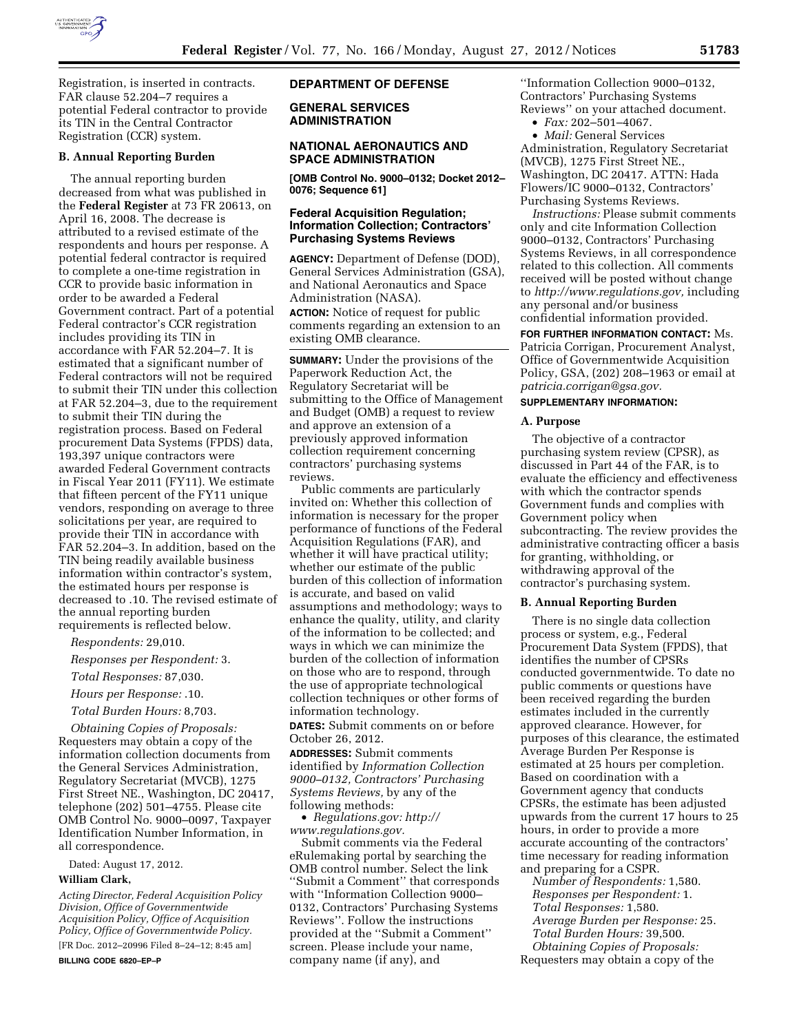

Registration, is inserted in contracts. FAR clause 52.204–7 requires a potential Federal contractor to provide

# Registration (CCR) system. **B. Annual Reporting Burden**

its TIN in the Central Contractor

The annual reporting burden decreased from what was published in the **Federal Register** at 73 FR 20613, on April 16, 2008. The decrease is attributed to a revised estimate of the respondents and hours per response. A potential federal contractor is required to complete a one-time registration in CCR to provide basic information in order to be awarded a Federal Government contract. Part of a potential Federal contractor's CCR registration includes providing its TIN in accordance with FAR 52.204–7. It is estimated that a significant number of Federal contractors will not be required to submit their TIN under this collection at FAR 52.204–3, due to the requirement to submit their TIN during the registration process. Based on Federal procurement Data Systems (FPDS) data, 193,397 unique contractors were awarded Federal Government contracts in Fiscal Year 2011 (FY11). We estimate that fifteen percent of the FY11 unique vendors, responding on average to three solicitations per year, are required to provide their TIN in accordance with FAR 52.204–3. In addition, based on the TIN being readily available business information within contractor's system, the estimated hours per response is decreased to .10. The revised estimate of the annual reporting burden requirements is reflected below.

*Respondents:* 29,010.

*Responses per Respondent:* 3.

*Total Responses:* 87,030.

*Hours per Response:* .10.

*Total Burden Hours:* 8,703.

*Obtaining Copies of Proposals:*  Requesters may obtain a copy of the information collection documents from the General Services Administration, Regulatory Secretariat (MVCB), 1275 First Street NE., Washington, DC 20417, telephone (202) 501–4755. Please cite OMB Control No. 9000–0097, Taxpayer Identification Number Information, in all correspondence.

Dated: August 17, 2012.

#### **William Clark,**

*Acting Director, Federal Acquisition Policy Division, Office of Governmentwide Acquisition Policy, Office of Acquisition Policy, Office of Governmentwide Policy.*  [FR Doc. 2012–20996 Filed 8–24–12; 8:45 am]

**BILLING CODE 6820–EP–P** 

#### **DEPARTMENT OF DEFENSE**

**GENERAL SERVICES ADMINISTRATION** 

#### **NATIONAL AERONAUTICS AND SPACE ADMINISTRATION**

**[OMB Control No. 9000–0132; Docket 2012– 0076; Sequence 61]** 

## **Federal Acquisition Regulation; Information Collection; Contractors' Purchasing Systems Reviews**

**AGENCY:** Department of Defense (DOD), General Services Administration (GSA), and National Aeronautics and Space Administration (NASA). **ACTION:** Notice of request for public comments regarding an extension to an existing OMB clearance.

**SUMMARY:** Under the provisions of the Paperwork Reduction Act, the Regulatory Secretariat will be submitting to the Office of Management and Budget (OMB) a request to review and approve an extension of a previously approved information collection requirement concerning contractors' purchasing systems reviews.

Public comments are particularly invited on: Whether this collection of information is necessary for the proper performance of functions of the Federal Acquisition Regulations (FAR), and whether it will have practical utility; whether our estimate of the public burden of this collection of information is accurate, and based on valid assumptions and methodology; ways to enhance the quality, utility, and clarity of the information to be collected; and ways in which we can minimize the burden of the collection of information on those who are to respond, through the use of appropriate technological collection techniques or other forms of information technology.

**DATES:** Submit comments on or before October 26, 2012.

**ADDRESSES:** Submit comments identified by *Information Collection 9000–0132, Contractors' Purchasing Systems Reviews,* by any of the following methods:

• *Regulations.gov: [http://](http://www.regulations.gov)  [www.regulations.gov.](http://www.regulations.gov)* 

Submit comments via the Federal eRulemaking portal by searching the OMB control number. Select the link ''Submit a Comment'' that corresponds with ''Information Collection 9000– 0132, Contractors' Purchasing Systems Reviews''. Follow the instructions provided at the ''Submit a Comment'' screen. Please include your name, company name (if any), and

''Information Collection 9000–0132, Contractors' Purchasing Systems Reviews'' on your attached document.

• *Fax:* 202–501–4067. • *Mail:* General Services Administration, Regulatory Secretariat (MVCB), 1275 First Street NE.,

Washington, DC 20417. ATTN: Hada Flowers/IC 9000–0132, Contractors' Purchasing Systems Reviews.

*Instructions:* Please submit comments only and cite Information Collection 9000–0132, Contractors' Purchasing Systems Reviews, in all correspondence related to this collection. All comments received will be posted without change to *[http://www.regulations.gov,](http://www.regulations.gov)* including any personal and/or business confidential information provided.

**FOR FURTHER INFORMATION CONTACT:** Ms. Patricia Corrigan, Procurement Analyst, Office of Governmentwide Acquisition Policy, GSA, (202) 208–1963 or email at *[patricia.corrigan@gsa.gov.](mailto:patricia.corrigan@gsa.gov)* 

#### **SUPPLEMENTARY INFORMATION:**

#### **A. Purpose**

The objective of a contractor purchasing system review (CPSR), as discussed in Part 44 of the FAR, is to evaluate the efficiency and effectiveness with which the contractor spends Government funds and complies with Government policy when subcontracting. The review provides the administrative contracting officer a basis for granting, withholding, or withdrawing approval of the contractor's purchasing system.

#### **B. Annual Reporting Burden**

There is no single data collection process or system, e.g., Federal Procurement Data System (FPDS), that identifies the number of CPSRs conducted governmentwide. To date no public comments or questions have been received regarding the burden estimates included in the currently approved clearance. However, for purposes of this clearance, the estimated Average Burden Per Response is estimated at 25 hours per completion. Based on coordination with a Government agency that conducts CPSRs, the estimate has been adjusted upwards from the current 17 hours to 25 hours, in order to provide a more accurate accounting of the contractors' time necessary for reading information and preparing for a CSPR.

*Number of Respondents:* 1,580. *Responses per Respondent:* 1. *Total Responses:* 1,580. *Average Burden per Response:* 25. *Total Burden Hours:* 39,500. *Obtaining Copies of Proposals:*  Requesters may obtain a copy of the